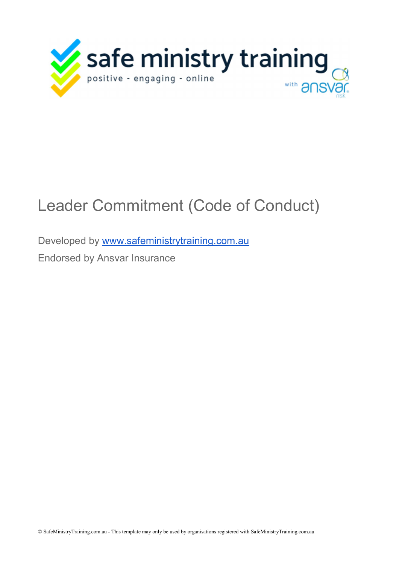

## Leader Commitment (Code of Conduct)

Developed by www.safeministrytraining.com.au

Endorsed by Ansvar Insurance